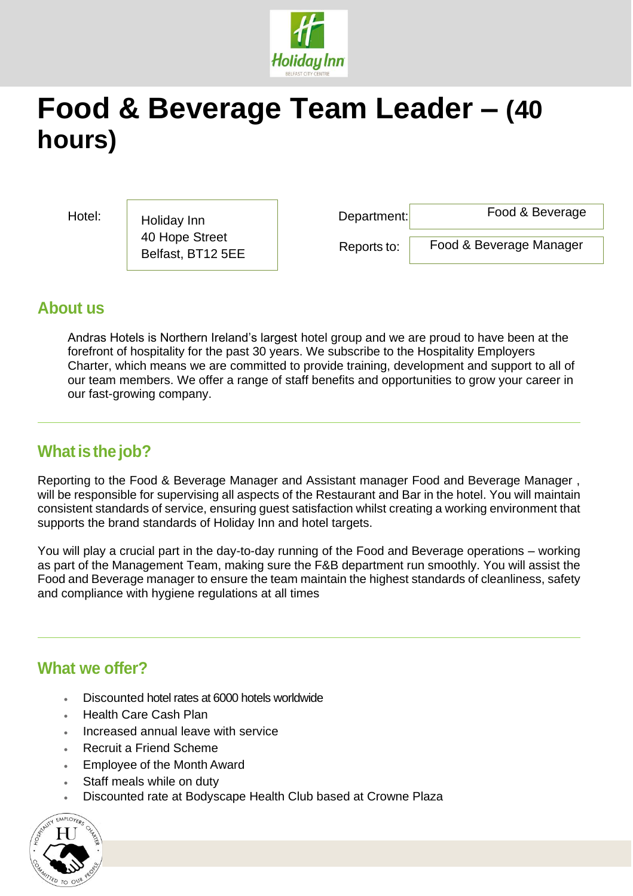

# **Food & Beverage Team Leader – (40 hours)**

Hotel: Holiday Inn Repartment: 40 Hope Street Belfast, BT12 5EE

Food & Beverage

Reports to:

Food & Beverage Manager

### **About us**

Andras Hotels is Northern Ireland's largest hotel group and we are proud to have been at the forefront of hospitality for the past 30 years. We subscribe to the Hospitality Employers Charter, which means we are committed to provide training, development and support to all of our team members. We offer a range of staff benefits and opportunities to grow your career in our fast-growing company.

## **Whatisthe job?**

Reporting to the Food & Beverage Manager and Assistant manager Food and Beverage Manager , will be responsible for supervising all aspects of the Restaurant and Bar in the hotel. You will maintain consistent standards of service, ensuring guest satisfaction whilst creating a working environment that supports the brand standards of Holiday Inn and hotel targets.

You will play a crucial part in the day-to-day running of the Food and Beverage operations – working as part of the Management Team, making sure the F&B department run smoothly. You will assist the Food and Beverage manager to ensure the team maintain the highest standards of cleanliness, safety and compliance with hygiene regulations at all times

### **What we offer?**

- Discounted hotel rates at 6000 hotels worldwide
- Health Care Cash Plan
- Increased annual leave with service
- Recruit a Friend Scheme
- Employee of the Month Award
- Staff meals while on duty
- Discounted rate at Bodyscape Health Club based at Crowne Plaza

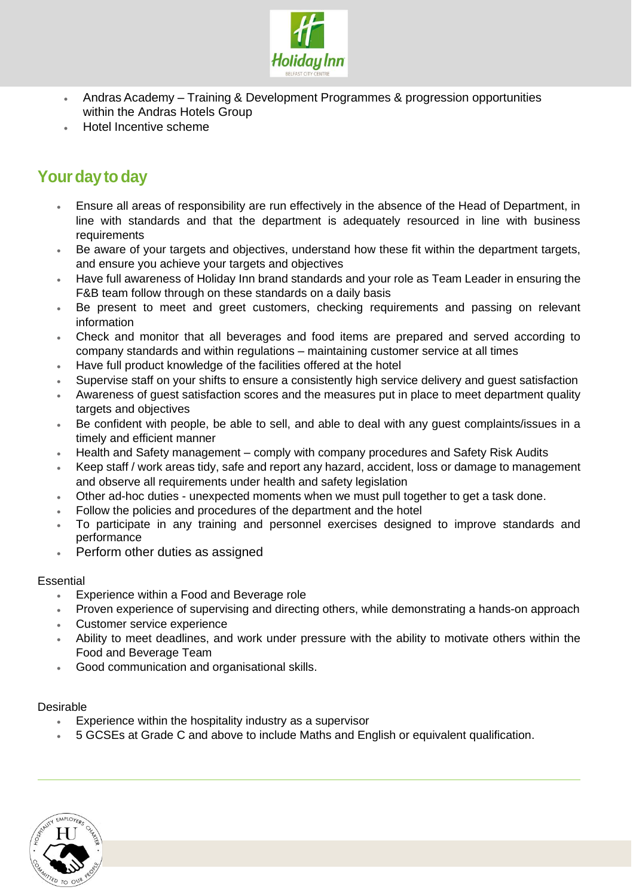

- Andras Academy Training & Development Programmes & progression opportunities within the Andras Hotels Group
- Hotel Incentive scheme

# **Your day to day**

- Ensure all areas of responsibility are run effectively in the absence of the Head of Department, in line with standards and that the department is adequately resourced in line with business requirements
- Be aware of your targets and objectives, understand how these fit within the department targets, and ensure you achieve your targets and objectives
- Have full awareness of Holiday Inn brand standards and your role as Team Leader in ensuring the F&B team follow through on these standards on a daily basis
- Be present to meet and greet customers, checking requirements and passing on relevant information
- Check and monitor that all beverages and food items are prepared and served according to company standards and within regulations – maintaining customer service at all times
- Have full product knowledge of the facilities offered at the hotel
- Supervise staff on your shifts to ensure a consistently high service delivery and guest satisfaction
- Awareness of guest satisfaction scores and the measures put in place to meet department quality targets and objectives
- Be confident with people, be able to sell, and able to deal with any guest complaints/issues in a timely and efficient manner
- Health and Safety management comply with company procedures and Safety Risk Audits
- Keep staff / work areas tidy, safe and report any hazard, accident, loss or damage to management and observe all requirements under health and safety legislation
- Other ad-hoc duties unexpected moments when we must pull together to get a task done.
- Follow the policies and procedures of the department and the hotel
- To participate in any training and personnel exercises designed to improve standards and performance
- Perform other duties as assigned

#### **Essential**

- Experience within a Food and Beverage role
- Proven experience of supervising and directing others, while demonstrating a hands-on approach
- Customer service experience
- Ability to meet deadlines, and work under pressure with the ability to motivate others within the Food and Beverage Team
- Good communication and organisational skills.

#### Desirable

- Experience within the hospitality industry as a supervisor
- 5 GCSEs at Grade C and above to include Maths and English or equivalent qualification.

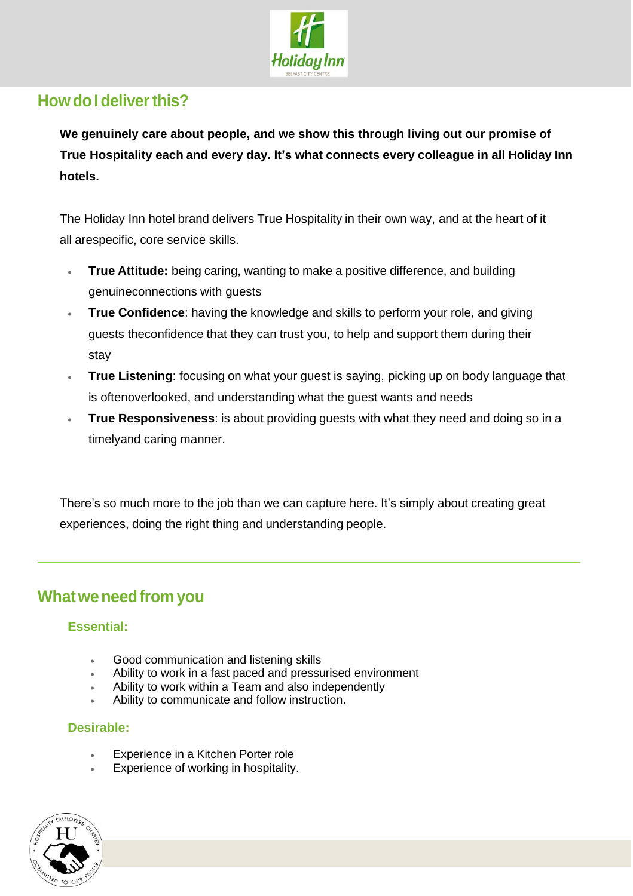

## **HowdoIdeliverthis?**

**We genuinely care about people, and we show this through living out our promise of True Hospitality each and every day. It's what connects every colleague in all Holiday Inn hotels.**

The Holiday Inn hotel brand delivers True Hospitality in their own way, and at the heart of it all arespecific, core service skills.

- **True Attitude:** being caring, wanting to make a positive difference, and building genuineconnections with guests
- **True Confidence**: having the knowledge and skills to perform your role, and giving guests theconfidence that they can trust you, to help and support them during their stay
- **True Listening**: focusing on what your guest is saying, picking up on body language that is oftenoverlooked, and understanding what the guest wants and needs
- **True Responsiveness**: is about providing guests with what they need and doing so in a timelyand caring manner.

There's so much more to the job than we can capture here. It's simply about creating great experiences, doing the right thing and understanding people.

### **Whatweneedfrom you**

### **Essential:**

- Good communication and listening skills
- Ability to work in a fast paced and pressurised environment
- Ability to work within a Team and also independently
- Ability to communicate and follow instruction.

### **Desirable:**

- Experience in a Kitchen Porter role
- Experience of working in hospitality.